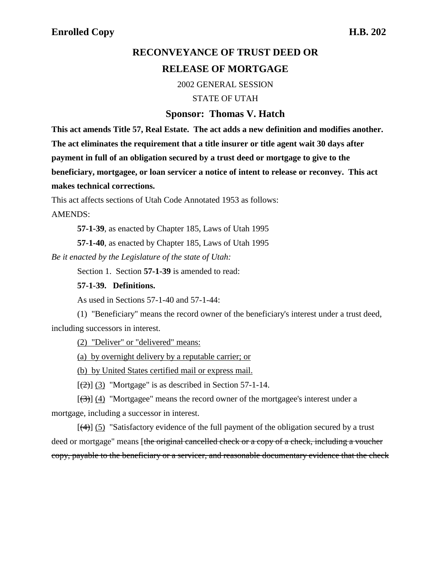# **RECONVEYANCE OF TRUST DEED OR RELEASE OF MORTGAGE**

2002 GENERAL SESSION

STATE OF UTAH

#### **Sponsor: Thomas V. Hatch**

**This act amends Title 57, Real Estate. The act adds a new definition and modifies another. The act eliminates the requirement that a title insurer or title agent wait 30 days after payment in full of an obligation secured by a trust deed or mortgage to give to the beneficiary, mortgagee, or loan servicer a notice of intent to release or reconvey. This act makes technical corrections.**

This act affects sections of Utah Code Annotated 1953 as follows: AMENDS:

**57-1-39**, as enacted by Chapter 185, Laws of Utah 1995

**57-1-40**, as enacted by Chapter 185, Laws of Utah 1995

*Be it enacted by the Legislature of the state of Utah:*

Section 1. Section **57-1-39** is amended to read:

#### **57-1-39. Definitions.**

As used in Sections 57-1-40 and 57-1-44:

(1) "Beneficiary" means the record owner of the beneficiary's interest under a trust deed, including successors in interest.

(2) "Deliver" or "delivered" means:

(a) by overnight delivery by a reputable carrier; or

(b) by United States certified mail or express mail.

 $[\frac{1}{2}]$  (3) "Mortgage" is as described in Section 57-1-14.

 $[(3)]$  (4) "Mortgagee" means the record owner of the mortgagee's interest under a mortgage, including a successor in interest.

 $[\frac{4}{3}]$  (5) "Satisfactory evidence of the full payment of the obligation secured by a trust deed or mortgage" means [the original cancelled check or a copy of a check, including a voucher copy, payable to the beneficiary or a servicer, and reasonable documentary evidence that the check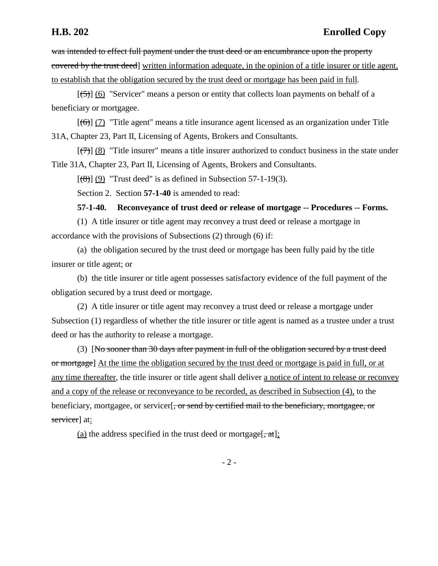was intended to effect full payment under the trust deed or an encumbrance upon the property covered by the trust deed] written information adequate, in the opinion of a title insurer or title agent, to establish that the obligation secured by the trust deed or mortgage has been paid in full.

 $[5]$  (6) "Servicer" means a person or entity that collects loan payments on behalf of a beneficiary or mortgagee.

 $[(6)]$  (7) "Title agent" means a title insurance agent licensed as an organization under Title 31A, Chapter 23, Part II, Licensing of Agents, Brokers and Consultants.

 $[\overline{7}](8)$  "Title insurer" means a title insurer authorized to conduct business in the state under Title 31A, Chapter 23, Part II, Licensing of Agents, Brokers and Consultants.

 $[$ (8)] (9) "Trust deed" is as defined in Subsection 57-1-19(3).

Section 2. Section **57-1-40** is amended to read:

**57-1-40. Reconveyance of trust deed or release of mortgage -- Procedures -- Forms.**

(1) A title insurer or title agent may reconvey a trust deed or release a mortgage in accordance with the provisions of Subsections (2) through (6) if:

(a) the obligation secured by the trust deed or mortgage has been fully paid by the title insurer or title agent; or

(b) the title insurer or title agent possesses satisfactory evidence of the full payment of the obligation secured by a trust deed or mortgage.

(2) A title insurer or title agent may reconvey a trust deed or release a mortgage under Subsection (1) regardless of whether the title insurer or title agent is named as a trustee under a trust deed or has the authority to release a mortgage.

(3) [No sooner than 30 days after payment in full of the obligation secured by a trust deed or mortgage] At the time the obligation secured by the trust deed or mortgage is paid in full, or at any time thereafter, the title insurer or title agent shall deliver a notice of intent to release or reconvey and a copy of the release or reconveyance to be recorded, as described in Subsection (4), to the beneficiary, mortgagee, or servicer, or send by certified mail to the beneficiary, mortgagee, or servicer] at:

(a) the address specified in the trust deed or mortgage  $[\frac{\pi}{6}, \frac{\pi}{6}]$ ;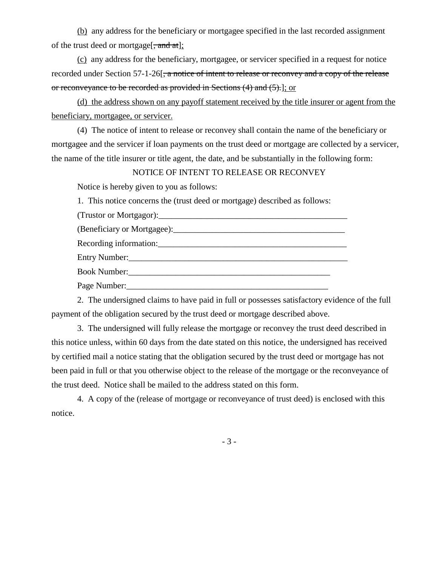(b) any address for the beneficiary or mortgagee specified in the last recorded assignment of the trust deed or mortgage[ $\frac{1}{2}$  and at];

(c) any address for the beneficiary, mortgagee, or servicer specified in a request for notice recorded under Section 57-1-26<del>, a notice of intent to release or reconvey and a copy of the release</del> or reconveyance to be recorded as provided in Sections (4) and (5).]; or

(d) the address shown on any payoff statement received by the title insurer or agent from the beneficiary, mortgagee, or servicer.

(4) The notice of intent to release or reconvey shall contain the name of the beneficiary or mortgagee and the servicer if loan payments on the trust deed or mortgage are collected by a servicer, the name of the title insurer or title agent, the date, and be substantially in the following form:

### NOTICE OF INTENT TO RELEASE OR RECONVEY

Notice is hereby given to you as follows:

1. This notice concerns the (trust deed or mortgage) described as follows:

(Trustor or Mortgagor):\_\_\_\_\_\_\_\_\_\_\_\_\_\_\_\_\_\_\_\_\_\_\_\_\_\_\_\_\_\_\_\_\_\_\_\_\_\_\_\_\_\_\_\_

Recording information:\_\_\_\_\_\_\_\_\_\_\_\_\_\_\_\_\_\_\_\_\_\_\_\_\_\_\_\_\_\_\_\_\_\_\_\_\_\_\_\_\_\_\_\_

Entry Number:\_\_\_\_\_\_\_\_\_\_\_\_\_\_\_\_\_\_\_\_\_\_\_\_\_\_\_\_\_\_\_\_\_\_\_\_\_\_\_\_\_\_\_\_\_\_\_\_\_\_\_

Book Number:\_\_\_\_\_\_\_\_\_\_\_\_\_\_\_\_\_\_\_\_\_\_\_\_\_\_\_\_\_\_\_\_\_\_\_\_\_\_\_\_\_\_\_\_\_\_\_

Page Number:\_\_\_\_\_\_\_\_\_\_\_\_\_\_\_\_\_\_\_\_\_\_\_\_\_\_\_\_\_\_\_\_\_\_\_\_\_\_\_\_\_\_\_\_\_\_\_

2. The undersigned claims to have paid in full or possesses satisfactory evidence of the full payment of the obligation secured by the trust deed or mortgage described above.

3. The undersigned will fully release the mortgage or reconvey the trust deed described in this notice unless, within 60 days from the date stated on this notice, the undersigned has received by certified mail a notice stating that the obligation secured by the trust deed or mortgage has not been paid in full or that you otherwise object to the release of the mortgage or the reconveyance of the trust deed. Notice shall be mailed to the address stated on this form.

4. A copy of the (release of mortgage or reconveyance of trust deed) is enclosed with this notice.

- 3 -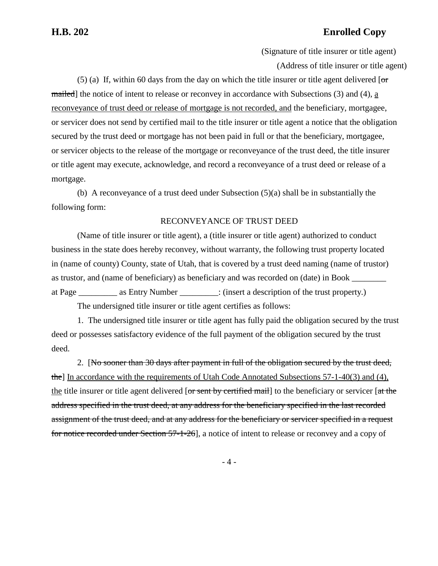## **H.B. 202 Enrolled Copy**

(Signature of title insurer or title agent) (Address of title insurer or title agent)

(5) (a) If, within 60 days from the day on which the title insurer or title agent delivered  $\sigma$ mailed] the notice of intent to release or reconvey in accordance with Subsections  $(3)$  and  $(4)$ , a reconveyance of trust deed or release of mortgage is not recorded, and the beneficiary, mortgagee, or servicer does not send by certified mail to the title insurer or title agent a notice that the obligation secured by the trust deed or mortgage has not been paid in full or that the beneficiary, mortgagee, or servicer objects to the release of the mortgage or reconveyance of the trust deed, the title insurer or title agent may execute, acknowledge, and record a reconveyance of a trust deed or release of a mortgage.

(b) A reconveyance of a trust deed under Subsection (5)(a) shall be in substantially the following form:

#### RECONVEYANCE OF TRUST DEED

(Name of title insurer or title agent), a (title insurer or title agent) authorized to conduct business in the state does hereby reconvey, without warranty, the following trust property located in (name of county) County, state of Utah, that is covered by a trust deed naming (name of trustor) as trustor, and (name of beneficiary) as beneficiary and was recorded on (date) in Book at Page as Entry Number : (insert a description of the trust property.)

The undersigned title insurer or title agent certifies as follows:

1. The undersigned title insurer or title agent has fully paid the obligation secured by the trust deed or possesses satisfactory evidence of the full payment of the obligation secured by the trust deed.

2. [No sooner than 30 days after payment in full of the obligation secured by the trust deed, the] In accordance with the requirements of Utah Code Annotated Subsections 57-1-40(3) and (4), the title insurer or title agent delivered  $\overline{or}$  sent by certified mail to the beneficiary or servicer  $\overline{a}$ t the address specified in the trust deed, at any address for the beneficiary specified in the last recorded assignment of the trust deed, and at any address for the beneficiary or servicer specified in a request for notice recorded under Section 57-1-26], a notice of intent to release or reconvey and a copy of

- 4 -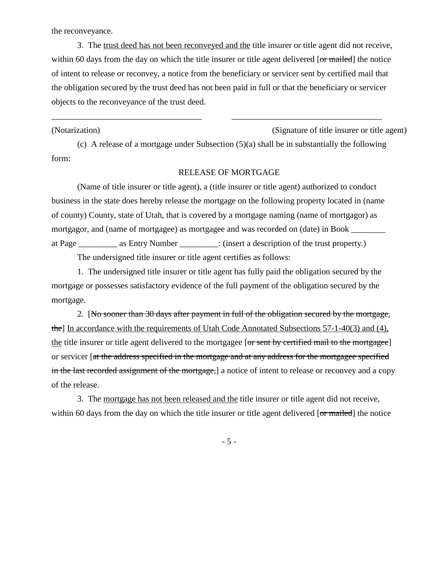the reconveyance.

3. The trust deed has not been reconveyed and the title insurer or title agent did not receive, within 60 days from the day on which the title insurer or title agent delivered [or mailed] the notice of intent to release or reconvey, a notice from the beneficiary or servicer sent by certified mail that the obligation secured by the trust deed has not been paid in full or that the beneficiary or servicer objects to the reconveyance of the trust deed.

#### (Notarization) (Signature of title insurer or title agent)

(c) A release of a mortgage under Subsection (5)(a) shall be in substantially the following form:

\_\_\_\_\_\_\_\_\_\_\_\_\_\_\_\_\_\_\_\_\_\_\_\_\_\_\_\_\_\_\_\_\_\_\_ \_\_\_\_\_\_\_\_\_\_\_\_\_\_\_\_\_\_\_\_\_\_\_\_\_\_\_\_\_\_\_\_\_\_\_

#### RELEASE OF MORTGAGE

(Name of title insurer or title agent), a (title insurer or title agent) authorized to conduct business in the state does hereby release the mortgage on the following property located in (name of county) County, state of Utah, that is covered by a mortgage naming (name of mortgagor) as mortgagor, and (name of mortgagee) as mortgagee and was recorded on (date) in Book at Page \_\_\_\_\_\_\_\_\_ as Entry Number \_\_\_\_\_\_\_\_\_: (insert a description of the trust property.)

The undersigned title insurer or title agent certifies as follows:

1. The undersigned title insurer or title agent has fully paid the obligation secured by the mortgage or possesses satisfactory evidence of the full payment of the obligation secured by the mortgage.

2. [No sooner than 30 days after payment in full of the obligation secured by the mortgage, the] In accordance with the requirements of Utah Code Annotated Subsections 57-1-40(3) and (4), the title insurer or title agent delivered to the mortgagee [or sent by certified mail to the mortgagee] or servicer [at the address specified in the mortgage and at any address for the mortgagee specified in the last recorded assignment of the mortgage, a notice of intent to release or reconvey and a copy of the release.

3. The mortgage has not been released and the title insurer or title agent did not receive, within 60 days from the day on which the title insurer or title agent delivered [or mailed] the notice

- 5 -